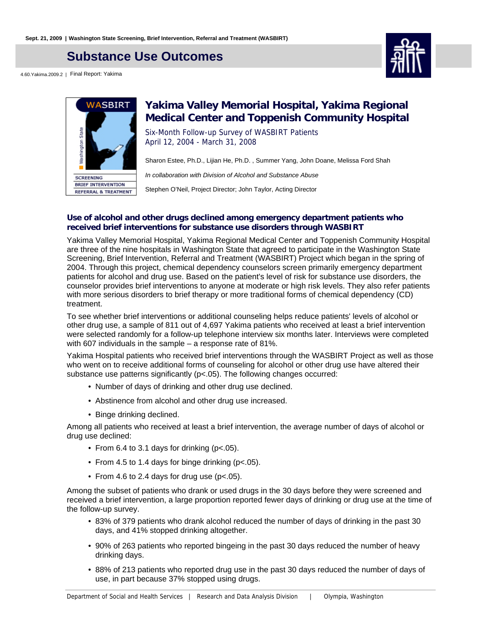## **Substance Use Outcomes**

4.60.Yakima.2009.2 | Final Report: Yakima





## **Yakima Valley Memorial Hospital, Yakima Regional Medical Center and Toppenish Community Hospital**

Six-Month Follow-up Survey of WASBIRT Patients April 12, 2004 - March 31, 2008

Sharon Estee, Ph.D., Lijian He, Ph.D. , Summer Yang, John Doane, Melissa Ford Shah

In collaboration with Division of Alcohol and Substance Abuse

Stephen O'Neil, Project Director; John Taylor, Acting Director

#### **Use of alcohol and other drugs declined among emergency department patients who received brief interventions for substance use disorders through WASBIRT**

Yakima Valley Memorial Hospital, Yakima Regional Medical Center and Toppenish Community Hospital are three of the nine hospitals in Washington State that agreed to participate in the Washington State Screening, Brief Intervention, Referral and Treatment (WASBIRT) Project which began in the spring of 2004. Through this project, chemical dependency counselors screen primarily emergency department patients for alcohol and drug use. Based on the patient's level of risk for substance use disorders, the counselor provides brief interventions to anyone at moderate or high risk levels. They also refer patients with more serious disorders to brief therapy or more traditional forms of chemical dependency (CD) treatment.

To see whether brief interventions or additional counseling helps reduce patients' levels of alcohol or other drug use, a sample of 811 out of 4,697 Yakima patients who received at least a brief intervention were selected randomly for a follow-up telephone interview six months later. Interviews were completed with 607 individuals in the sample – a response rate of 81%.

Yakima Hospital patients who received brief interventions through the WASBIRT Project as well as those who went on to receive additional forms of counseling for alcohol or other drug use have altered their substance use patterns significantly (p<.05). The following changes occurred:

- Number of days of drinking and other drug use declined.
- Abstinence from alcohol and other drug use increased.
- Binge drinking declined.

Among all patients who received at least a brief intervention, the average number of days of alcohol or drug use declined:

- From 6.4 to 3.1 days for drinking ( $p$ <.05).
- From 4.5 to 1.4 days for binge drinking ( $p < 05$ ).
- From 4.6 to 2.4 days for drug use ( $p$ <.05).

Among the subset of patients who drank or used drugs in the 30 days before they were screened and received a brief intervention, a large proportion reported fewer days of drinking or drug use at the time of the follow-up survey.

- 83% of 379 patients who drank alcohol reduced the number of days of drinking in the past 30 days, and 41% stopped drinking altogether.
- 90% of 263 patients who reported bingeing in the past 30 days reduced the number of heavy drinking days.
- 88% of 213 patients who reported drug use in the past 30 days reduced the number of days of use, in part because 37% stopped using drugs.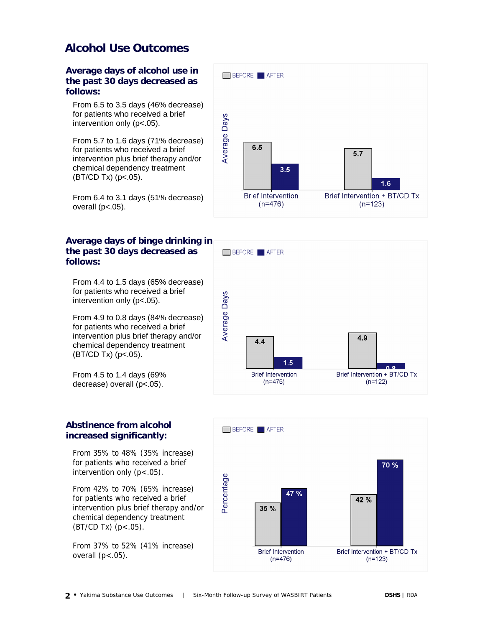## **Alcohol Use Outcomes**

**Average days of alcohol use in the past 30 days decreased as follows:**

From 6.5 to 3.5 days (46% decrease) for patients who received a brief intervention only (p<.05).

From 5.7 to 1.6 days (71% decrease) for patients who received a brief intervention plus brief therapy and/or chemical dependency treatment  $(BT/CD Tx)$  (p<.05).

From 6.4 to 3.1 days (51% decrease) overall  $(p<.05)$ .

### **Average days of binge drinking in the past 30 days decreased as follows:**

From 4.4 to 1.5 days (65% decrease) for patients who received a brief intervention only (p<.05).

From 4.9 to 0.8 days (84% decrease) for patients who received a brief intervention plus brief therapy and/or chemical dependency treatment (BT/CD Tx) (p<.05).

From 4.5 to 1.4 days (69% decrease) overall (p<.05).

#### **Abstinence from alcohol increased significantly:**

From 35% to 48% (35% increase) for patients who received a brief intervention only  $(p < .05)$ .

From 42% to 70% (65% increase) for patients who received a brief intervention plus brief therapy and/or chemical dependency treatment  $(BT/CD Tx)$   $(p < .05)$ .

From 37% to 52% (41% increase) overall  $(p<.05)$ .





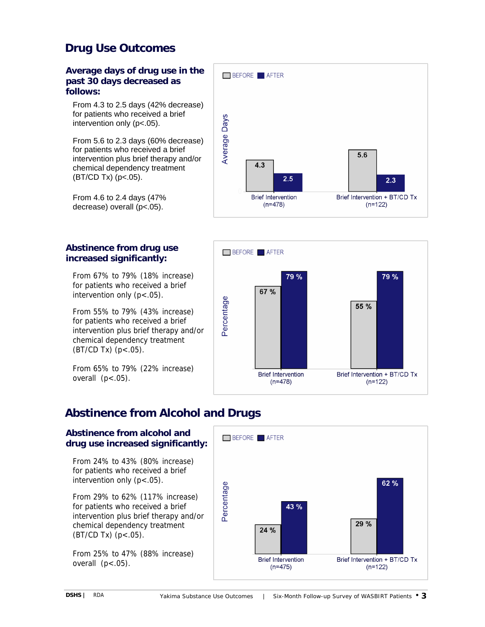# **Drug Use Outcomes**

#### **Average days of drug use in the past 30 days decreased as follows:**

From 4.3 to 2.5 days (42% decrease) for patients who received a brief intervention only (p<.05).

From 5.6 to 2.3 days (60% decrease) for patients who received a brief intervention plus brief therapy and/or chemical dependency treatment  $(BT/CD Tx)$  (p<.05).

From 4.6 to 2.4 days (47% decrease) overall (p<.05).

### **Abstinence from drug use increased significantly:**

From 67% to 79% (18% increase) for patients who received a brief intervention only (p<.05).

From 55% to 79% (43% increase) for patients who received a brief intervention plus brief therapy and/or chemical dependency treatment  $(BT/CD Tx)$   $(p < .05)$ .

From 65% to 79% (22% increase) overall  $(p<.05)$ .

# BEFORE **AFTER Average Days**  $5.6$  $4.3$  $2.5$  $2.3$ **Brief Intervention** Brief Intervention + BT/CD Tx  $(n=478)$  $(n=122)$



# **Abstinence from Alcohol and Drugs**

### **Abstinence from alcohol and drug use increased significantly:**

From 24% to 43% (80% increase) for patients who received a brief intervention only (p<.05).

From 29% to 62% (117% increase) for patients who received a brief intervention plus brief therapy and/or chemical dependency treatment (BT/CD Tx) (p<.05).

From 25% to 47% (88% increase) overall  $(p<.05)$ .